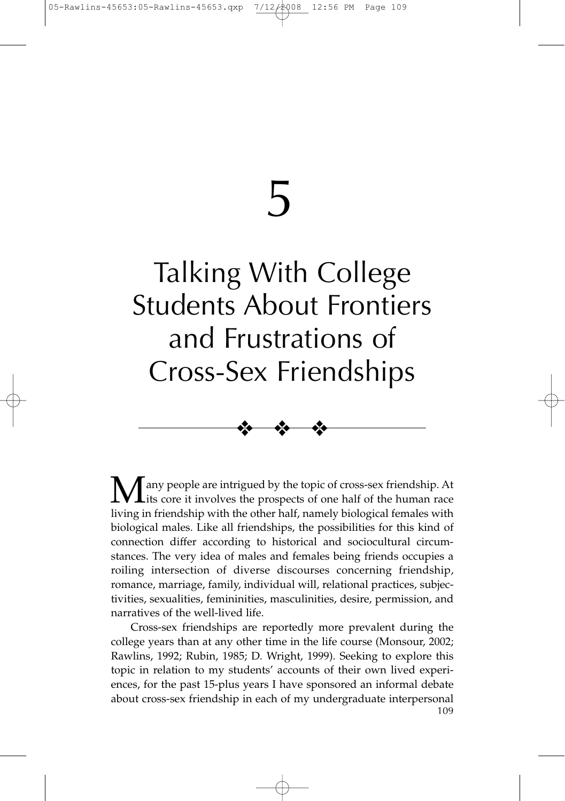# 5

# Talking With College Students About Frontiers and Frustrations of Cross-Sex Friendships

❖ ❖ ❖

any people are intrigued by the topic of cross-sex friendship. At its core it involves the prospects of one half of the human race living in friendship with the other half, namely biological females with biological males. Like all friendships, the possibilities for this kind of connection differ according to historical and sociocultural circumstances. The very idea of males and females being friends occupies a roiling intersection of diverse discourses concerning friendship, romance, marriage, family, individual will, relational practices, subjectivities, sexualities, femininities, masculinities, desire, permission, and narratives of the well-lived life.

Cross-sex friendships are reportedly more prevalent during the college years than at any other time in the life course (Monsour, 2002; Rawlins, 1992; Rubin, 1985; D. Wright, 1999). Seeking to explore this topic in relation to my students' accounts of their own lived experiences, for the past 15-plus years I have sponsored an informal debate about cross-sex friendship in each of my undergraduate interpersonal 109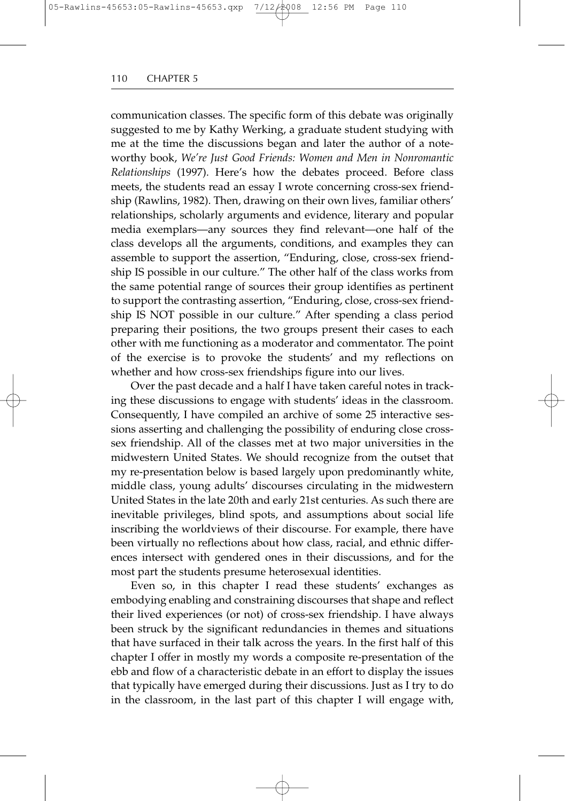communication classes. The specific form of this debate was originally suggested to me by Kathy Werking, a graduate student studying with me at the time the discussions began and later the author of a noteworthy book, *We're Just Good Friends: Women and Men in Nonromantic Relationships* (1997). Here's how the debates proceed. Before class meets, the students read an essay I wrote concerning cross-sex friendship (Rawlins, 1982). Then, drawing on their own lives, familiar others' relationships, scholarly arguments and evidence, literary and popular media exemplars—any sources they find relevant—one half of the class develops all the arguments, conditions, and examples they can assemble to support the assertion, "Enduring, close, cross-sex friendship IS possible in our culture." The other half of the class works from the same potential range of sources their group identifies as pertinent to support the contrasting assertion, "Enduring, close, cross-sex friendship IS NOT possible in our culture." After spending a class period preparing their positions, the two groups present their cases to each other with me functioning as a moderator and commentator. The point of the exercise is to provoke the students' and my reflections on whether and how cross-sex friendships figure into our lives.

Over the past decade and a half I have taken careful notes in tracking these discussions to engage with students' ideas in the classroom. Consequently, I have compiled an archive of some 25 interactive sessions asserting and challenging the possibility of enduring close crosssex friendship. All of the classes met at two major universities in the midwestern United States. We should recognize from the outset that my re-presentation below is based largely upon predominantly white, middle class, young adults' discourses circulating in the midwestern United States in the late 20th and early 21st centuries. As such there are inevitable privileges, blind spots, and assumptions about social life inscribing the worldviews of their discourse. For example, there have been virtually no reflections about how class, racial, and ethnic differences intersect with gendered ones in their discussions, and for the most part the students presume heterosexual identities.

Even so, in this chapter I read these students' exchanges as embodying enabling and constraining discourses that shape and reflect their lived experiences (or not) of cross-sex friendship. I have always been struck by the significant redundancies in themes and situations that have surfaced in their talk across the years. In the first half of this chapter I offer in mostly my words a composite re-presentation of the ebb and flow of a characteristic debate in an effort to display the issues that typically have emerged during their discussions. Just as I try to do in the classroom, in the last part of this chapter I will engage with,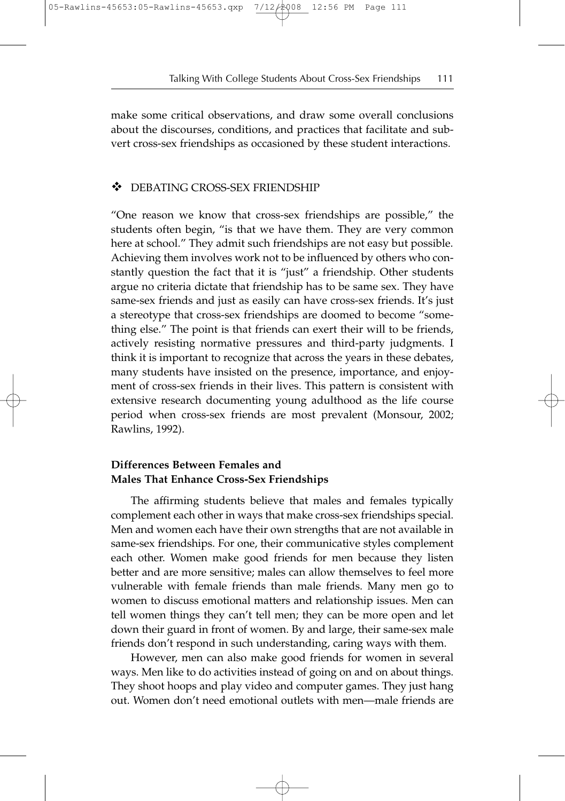make some critical observations, and draw some overall conclusions about the discourses, conditions, and practices that facilitate and subvert cross-sex friendships as occasioned by these student interactions.

#### $\ddot{\cdot}$ DEBATING CROSS-SEX FRIENDSHIP

"One reason we know that cross-sex friendships are possible," the students often begin, "is that we have them. They are very common here at school." They admit such friendships are not easy but possible. Achieving them involves work not to be influenced by others who constantly question the fact that it is "just" a friendship. Other students argue no criteria dictate that friendship has to be same sex. They have same-sex friends and just as easily can have cross-sex friends. It's just a stereotype that cross-sex friendships are doomed to become "something else." The point is that friends can exert their will to be friends, actively resisting normative pressures and third-party judgments. I think it is important to recognize that across the years in these debates, many students have insisted on the presence, importance, and enjoyment of cross-sex friends in their lives. This pattern is consistent with extensive research documenting young adulthood as the life course period when cross-sex friends are most prevalent (Monsour, 2002; Rawlins, 1992).

# **Differences Between Females and Males That Enhance Cross-Sex Friendships**

The affirming students believe that males and females typically complement each other in ways that make cross-sex friendships special. Men and women each have their own strengths that are not available in same-sex friendships. For one, their communicative styles complement each other. Women make good friends for men because they listen better and are more sensitive; males can allow themselves to feel more vulnerable with female friends than male friends. Many men go to women to discuss emotional matters and relationship issues. Men can tell women things they can't tell men; they can be more open and let down their guard in front of women. By and large, their same-sex male friends don't respond in such understanding, caring ways with them.

However, men can also make good friends for women in several ways. Men like to do activities instead of going on and on about things. They shoot hoops and play video and computer games. They just hang out. Women don't need emotional outlets with men—male friends are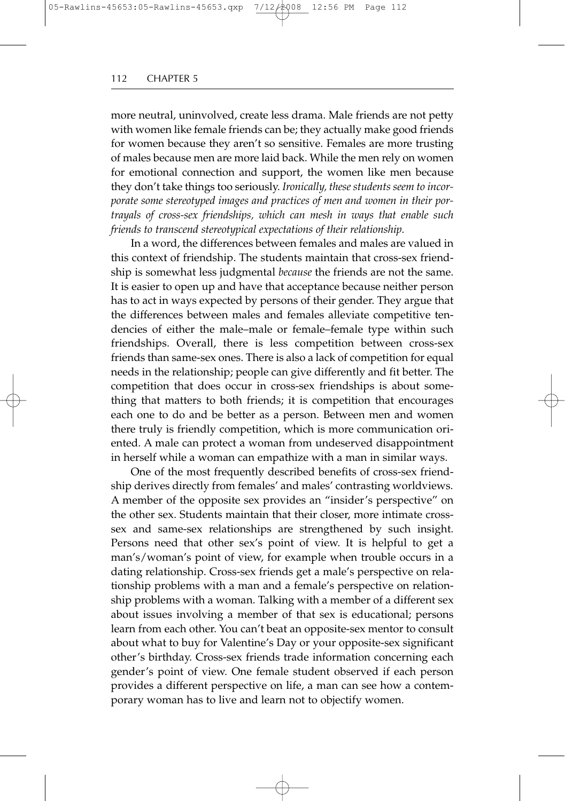more neutral, uninvolved, create less drama. Male friends are not petty with women like female friends can be; they actually make good friends for women because they aren't so sensitive. Females are more trusting of males because men are more laid back. While the men rely on women for emotional connection and support, the women like men because they don't take things too seriously. *Ironically, these students seem to incorporate some stereotyped images and practices of men and women in their portrayals of cross-sex friendships, which can mesh in ways that enable such friends to transcend stereotypical expectations of their relationship.*

In a word, the differences between females and males are valued in this context of friendship. The students maintain that cross-sex friendship is somewhat less judgmental *because* the friends are not the same. It is easier to open up and have that acceptance because neither person has to act in ways expected by persons of their gender. They argue that the differences between males and females alleviate competitive tendencies of either the male–male or female–female type within such friendships. Overall, there is less competition between cross-sex friends than same-sex ones. There is also a lack of competition for equal needs in the relationship; people can give differently and fit better. The competition that does occur in cross-sex friendships is about something that matters to both friends; it is competition that encourages each one to do and be better as a person. Between men and women there truly is friendly competition, which is more communication oriented. A male can protect a woman from undeserved disappointment in herself while a woman can empathize with a man in similar ways.

One of the most frequently described benefits of cross-sex friendship derives directly from females' and males' contrasting worldviews. A member of the opposite sex provides an "insider's perspective" on the other sex. Students maintain that their closer, more intimate crosssex and same-sex relationships are strengthened by such insight. Persons need that other sex's point of view. It is helpful to get a man's/woman's point of view, for example when trouble occurs in a dating relationship. Cross-sex friends get a male's perspective on relationship problems with a man and a female's perspective on relationship problems with a woman. Talking with a member of a different sex about issues involving a member of that sex is educational; persons learn from each other. You can't beat an opposite-sex mentor to consult about what to buy for Valentine's Day or your opposite-sex significant other's birthday. Cross-sex friends trade information concerning each gender's point of view. One female student observed if each person provides a different perspective on life, a man can see how a contemporary woman has to live and learn not to objectify women.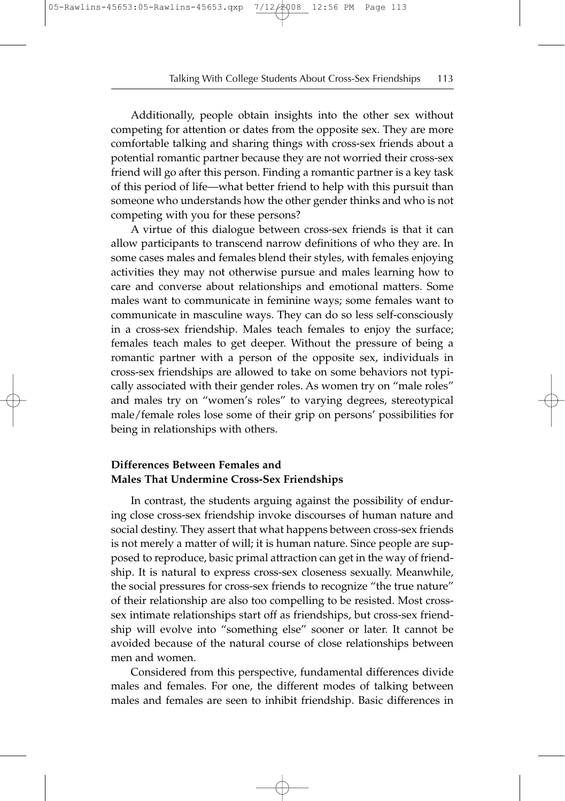Additionally, people obtain insights into the other sex without competing for attention or dates from the opposite sex. They are more comfortable talking and sharing things with cross-sex friends about a potential romantic partner because they are not worried their cross-sex friend will go after this person. Finding a romantic partner is a key task of this period of life—what better friend to help with this pursuit than someone who understands how the other gender thinks and who is not competing with you for these persons?

A virtue of this dialogue between cross-sex friends is that it can allow participants to transcend narrow definitions of who they are. In some cases males and females blend their styles, with females enjoying activities they may not otherwise pursue and males learning how to care and converse about relationships and emotional matters. Some males want to communicate in feminine ways; some females want to communicate in masculine ways. They can do so less self-consciously in a cross-sex friendship. Males teach females to enjoy the surface; females teach males to get deeper. Without the pressure of being a romantic partner with a person of the opposite sex, individuals in cross-sex friendships are allowed to take on some behaviors not typically associated with their gender roles. As women try on "male roles" and males try on "women's roles" to varying degrees, stereotypical male/female roles lose some of their grip on persons' possibilities for being in relationships with others.

# **Differences Between Females and Males That Undermine Cross-Sex Friendships**

In contrast, the students arguing against the possibility of enduring close cross-sex friendship invoke discourses of human nature and social destiny. They assert that what happens between cross-sex friends is not merely a matter of will; it is human nature. Since people are supposed to reproduce, basic primal attraction can get in the way of friendship. It is natural to express cross-sex closeness sexually. Meanwhile, the social pressures for cross-sex friends to recognize "the true nature" of their relationship are also too compelling to be resisted. Most crosssex intimate relationships start off as friendships, but cross-sex friendship will evolve into "something else" sooner or later. It cannot be avoided because of the natural course of close relationships between men and women.

Considered from this perspective, fundamental differences divide males and females. For one, the different modes of talking between males and females are seen to inhibit friendship. Basic differences in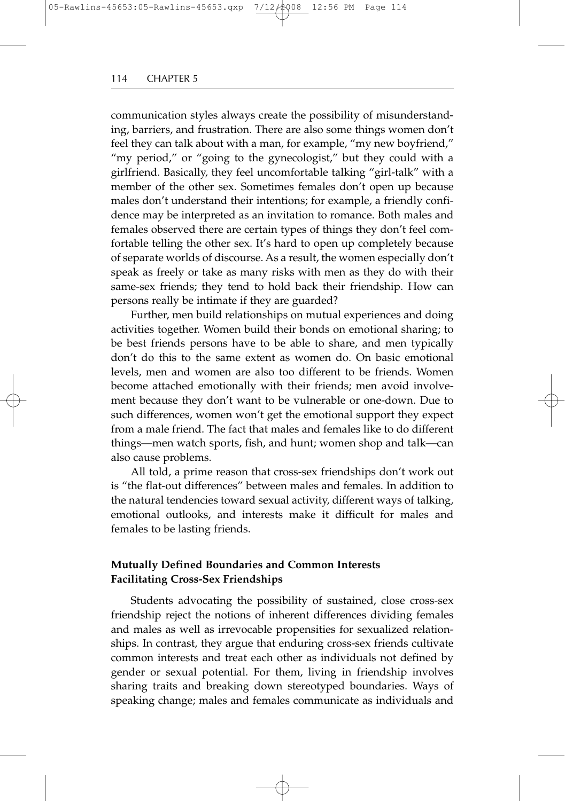communication styles always create the possibility of misunderstanding, barriers, and frustration. There are also some things women don't feel they can talk about with a man, for example, "my new boyfriend," "my period," or "going to the gynecologist," but they could with a girlfriend. Basically, they feel uncomfortable talking "girl-talk" with a member of the other sex. Sometimes females don't open up because males don't understand their intentions; for example, a friendly confidence may be interpreted as an invitation to romance. Both males and females observed there are certain types of things they don't feel comfortable telling the other sex. It's hard to open up completely because of separate worlds of discourse. As a result, the women especially don't speak as freely or take as many risks with men as they do with their same-sex friends; they tend to hold back their friendship. How can persons really be intimate if they are guarded?

Further, men build relationships on mutual experiences and doing activities together. Women build their bonds on emotional sharing; to be best friends persons have to be able to share, and men typically don't do this to the same extent as women do. On basic emotional levels, men and women are also too different to be friends. Women become attached emotionally with their friends; men avoid involvement because they don't want to be vulnerable or one-down. Due to such differences, women won't get the emotional support they expect from a male friend. The fact that males and females like to do different things—men watch sports, fish, and hunt; women shop and talk—can also cause problems.

All told, a prime reason that cross-sex friendships don't work out is "the flat-out differences" between males and females. In addition to the natural tendencies toward sexual activity, different ways of talking, emotional outlooks, and interests make it difficult for males and females to be lasting friends.

# **Mutually Defined Boundaries and Common Interests Facilitating Cross-Sex Friendships**

Students advocating the possibility of sustained, close cross-sex friendship reject the notions of inherent differences dividing females and males as well as irrevocable propensities for sexualized relationships. In contrast, they argue that enduring cross-sex friends cultivate common interests and treat each other as individuals not defined by gender or sexual potential. For them, living in friendship involves sharing traits and breaking down stereotyped boundaries. Ways of speaking change; males and females communicate as individuals and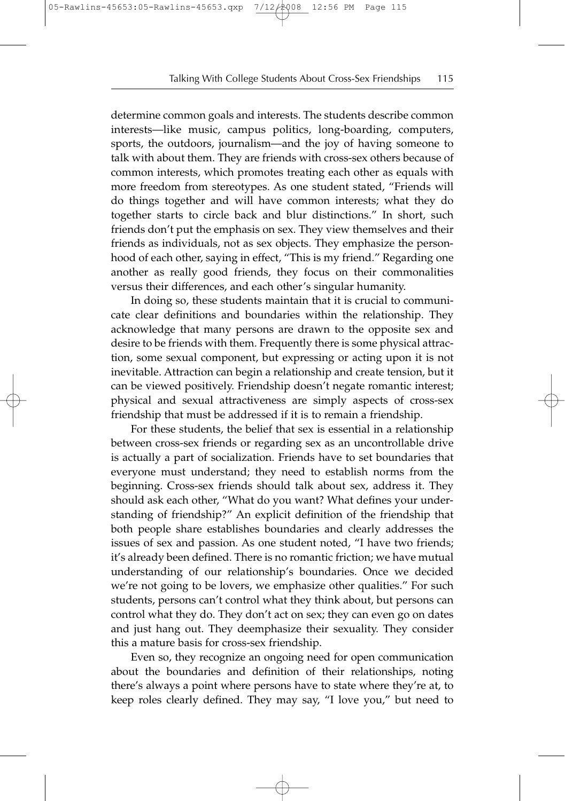determine common goals and interests. The students describe common interests—like music, campus politics, long-boarding, computers, sports, the outdoors, journalism—and the joy of having someone to talk with about them. They are friends with cross-sex others because of common interests, which promotes treating each other as equals with more freedom from stereotypes. As one student stated, "Friends will do things together and will have common interests; what they do together starts to circle back and blur distinctions." In short, such friends don't put the emphasis on sex. They view themselves and their friends as individuals, not as sex objects. They emphasize the personhood of each other, saying in effect, "This is my friend." Regarding one another as really good friends, they focus on their commonalities versus their differences, and each other's singular humanity.

In doing so, these students maintain that it is crucial to communicate clear definitions and boundaries within the relationship. They acknowledge that many persons are drawn to the opposite sex and desire to be friends with them. Frequently there is some physical attraction, some sexual component, but expressing or acting upon it is not inevitable. Attraction can begin a relationship and create tension, but it can be viewed positively. Friendship doesn't negate romantic interest; physical and sexual attractiveness are simply aspects of cross-sex friendship that must be addressed if it is to remain a friendship.

For these students, the belief that sex is essential in a relationship between cross-sex friends or regarding sex as an uncontrollable drive is actually a part of socialization. Friends have to set boundaries that everyone must understand; they need to establish norms from the beginning. Cross-sex friends should talk about sex, address it. They should ask each other, "What do you want? What defines your understanding of friendship?" An explicit definition of the friendship that both people share establishes boundaries and clearly addresses the issues of sex and passion. As one student noted, "I have two friends; it's already been defined. There is no romantic friction; we have mutual understanding of our relationship's boundaries. Once we decided we're not going to be lovers, we emphasize other qualities." For such students, persons can't control what they think about, but persons can control what they do. They don't act on sex; they can even go on dates and just hang out. They deemphasize their sexuality. They consider this a mature basis for cross-sex friendship.

Even so, they recognize an ongoing need for open communication about the boundaries and definition of their relationships, noting there's always a point where persons have to state where they're at, to keep roles clearly defined. They may say, "I love you," but need to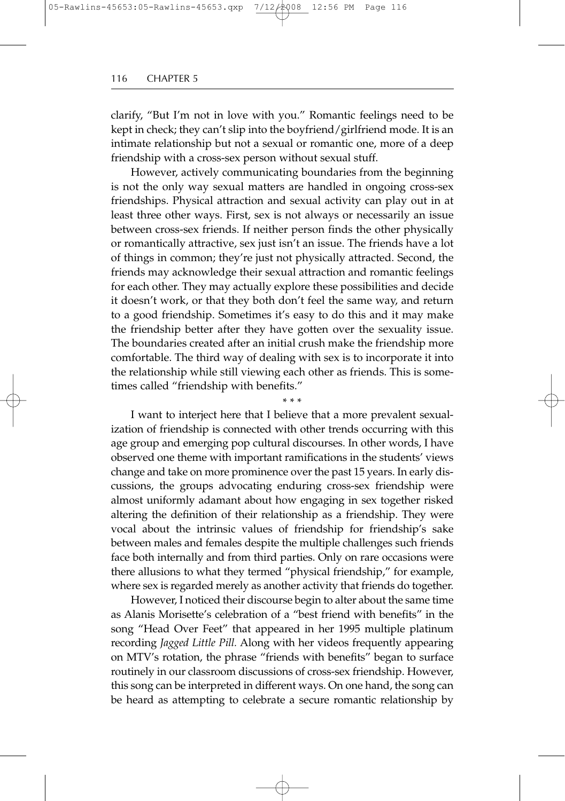clarify, "But I'm not in love with you." Romantic feelings need to be kept in check; they can't slip into the boyfriend/girlfriend mode. It is an intimate relationship but not a sexual or romantic one, more of a deep friendship with a cross-sex person without sexual stuff.

However, actively communicating boundaries from the beginning is not the only way sexual matters are handled in ongoing cross-sex friendships. Physical attraction and sexual activity can play out in at least three other ways. First, sex is not always or necessarily an issue between cross-sex friends. If neither person finds the other physically or romantically attractive, sex just isn't an issue. The friends have a lot of things in common; they're just not physically attracted. Second, the friends may acknowledge their sexual attraction and romantic feelings for each other. They may actually explore these possibilities and decide it doesn't work, or that they both don't feel the same way, and return to a good friendship. Sometimes it's easy to do this and it may make the friendship better after they have gotten over the sexuality issue. The boundaries created after an initial crush make the friendship more comfortable. The third way of dealing with sex is to incorporate it into the relationship while still viewing each other as friends. This is sometimes called "friendship with benefits."

\* \* \*

I want to interject here that I believe that a more prevalent sexualization of friendship is connected with other trends occurring with this age group and emerging pop cultural discourses. In other words, I have observed one theme with important ramifications in the students' views change and take on more prominence over the past 15 years. In early discussions, the groups advocating enduring cross-sex friendship were almost uniformly adamant about how engaging in sex together risked altering the definition of their relationship as a friendship. They were vocal about the intrinsic values of friendship for friendship's sake between males and females despite the multiple challenges such friends face both internally and from third parties. Only on rare occasions were there allusions to what they termed "physical friendship," for example, where sex is regarded merely as another activity that friends do together.

However, I noticed their discourse begin to alter about the same time as Alanis Morisette's celebration of a "best friend with benefits" in the song "Head Over Feet" that appeared in her 1995 multiple platinum recording *Jagged Little Pill.* Along with her videos frequently appearing on MTV's rotation, the phrase "friends with benefits" began to surface routinely in our classroom discussions of cross-sex friendship. However, this song can be interpreted in different ways. On one hand, the song can be heard as attempting to celebrate a secure romantic relationship by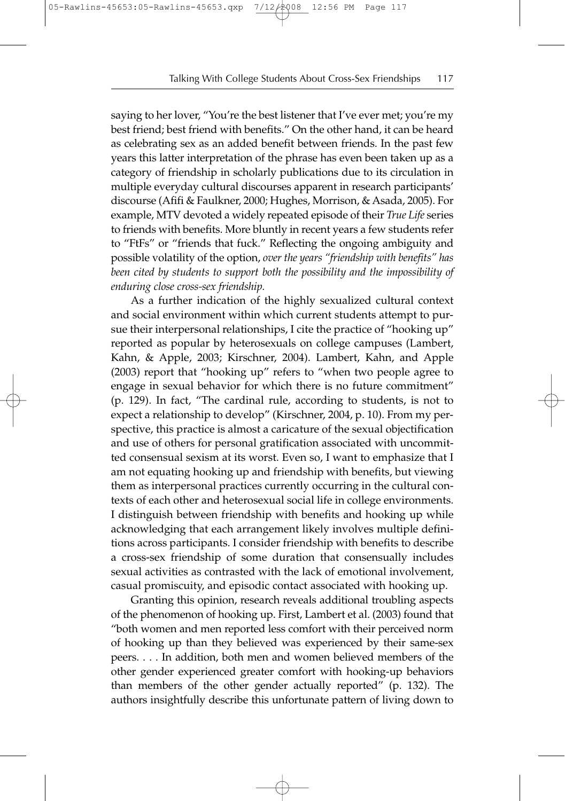saying to her lover, "You're the best listener that I've ever met; you're my best friend; best friend with benefits." On the other hand, it can be heard as celebrating sex as an added benefit between friends. In the past few years this latter interpretation of the phrase has even been taken up as a category of friendship in scholarly publications due to its circulation in multiple everyday cultural discourses apparent in research participants' discourse (Afifi & Faulkner, 2000; Hughes, Morrison, & Asada, 2005). For example, MTV devoted a widely repeated episode of their *True Life* series to friends with benefits. More bluntly in recent years a few students refer to "FtFs" or "friends that fuck." Reflecting the ongoing ambiguity and possible volatility of the option, *over the years "friendship with benefits" has been cited by students to support both the possibility and the impossibility of enduring close cross-sex friendship.*

As a further indication of the highly sexualized cultural context and social environment within which current students attempt to pursue their interpersonal relationships, I cite the practice of "hooking up" reported as popular by heterosexuals on college campuses (Lambert, Kahn, & Apple, 2003; Kirschner, 2004). Lambert, Kahn, and Apple (2003) report that "hooking up" refers to "when two people agree to engage in sexual behavior for which there is no future commitment" (p. 129). In fact, "The cardinal rule, according to students, is not to expect a relationship to develop" (Kirschner, 2004, p. 10). From my perspective, this practice is almost a caricature of the sexual objectification and use of others for personal gratification associated with uncommitted consensual sexism at its worst. Even so, I want to emphasize that I am not equating hooking up and friendship with benefits, but viewing them as interpersonal practices currently occurring in the cultural contexts of each other and heterosexual social life in college environments. I distinguish between friendship with benefits and hooking up while acknowledging that each arrangement likely involves multiple definitions across participants. I consider friendship with benefits to describe a cross-sex friendship of some duration that consensually includes sexual activities as contrasted with the lack of emotional involvement, casual promiscuity, and episodic contact associated with hooking up.

Granting this opinion, research reveals additional troubling aspects of the phenomenon of hooking up. First, Lambert et al. (2003) found that "both women and men reported less comfort with their perceived norm of hooking up than they believed was experienced by their same-sex peers. . . . In addition, both men and women believed members of the other gender experienced greater comfort with hooking-up behaviors than members of the other gender actually reported" (p. 132). The authors insightfully describe this unfortunate pattern of living down to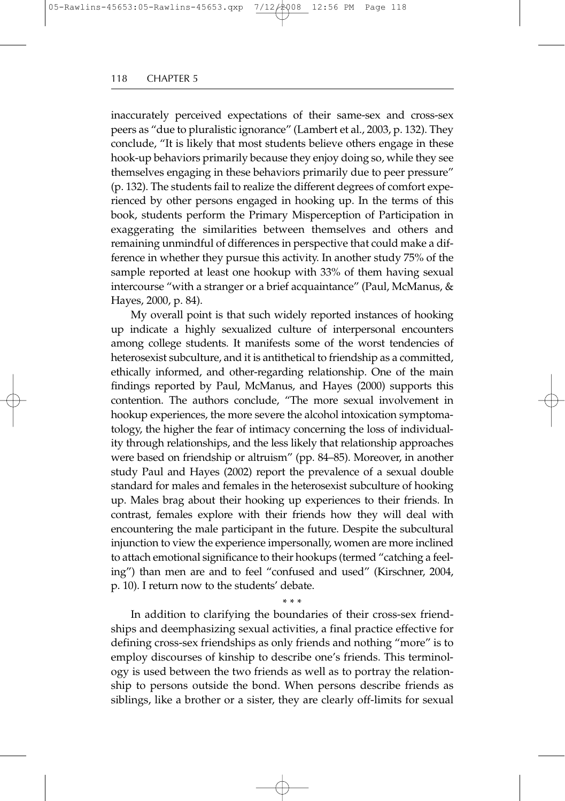inaccurately perceived expectations of their same-sex and cross-sex peers as "due to pluralistic ignorance" (Lambert et al., 2003, p. 132). They conclude, "It is likely that most students believe others engage in these hook-up behaviors primarily because they enjoy doing so, while they see themselves engaging in these behaviors primarily due to peer pressure" (p. 132). The students fail to realize the different degrees of comfort experienced by other persons engaged in hooking up. In the terms of this book, students perform the Primary Misperception of Participation in exaggerating the similarities between themselves and others and remaining unmindful of differences in perspective that could make a difference in whether they pursue this activity. In another study 75% of the sample reported at least one hookup with 33% of them having sexual intercourse "with a stranger or a brief acquaintance" (Paul, McManus, & Hayes, 2000, p. 84).

My overall point is that such widely reported instances of hooking up indicate a highly sexualized culture of interpersonal encounters among college students. It manifests some of the worst tendencies of heterosexist subculture, and it is antithetical to friendship as a committed, ethically informed, and other-regarding relationship. One of the main findings reported by Paul, McManus, and Hayes (2000) supports this contention. The authors conclude, "The more sexual involvement in hookup experiences, the more severe the alcohol intoxication symptomatology, the higher the fear of intimacy concerning the loss of individuality through relationships, and the less likely that relationship approaches were based on friendship or altruism" (pp. 84–85). Moreover, in another study Paul and Hayes (2002) report the prevalence of a sexual double standard for males and females in the heterosexist subculture of hooking up. Males brag about their hooking up experiences to their friends. In contrast, females explore with their friends how they will deal with encountering the male participant in the future. Despite the subcultural injunction to view the experience impersonally, women are more inclined to attach emotional significance to their hookups (termed "catching a feeling") than men are and to feel "confused and used" (Kirschner, 2004, p. 10). I return now to the students' debate.

\* \* \* In addition to clarifying the boundaries of their cross-sex friendships and deemphasizing sexual activities, a final practice effective for defining cross-sex friendships as only friends and nothing "more" is to employ discourses of kinship to describe one's friends. This terminology is used between the two friends as well as to portray the relationship to persons outside the bond. When persons describe friends as siblings, like a brother or a sister, they are clearly off-limits for sexual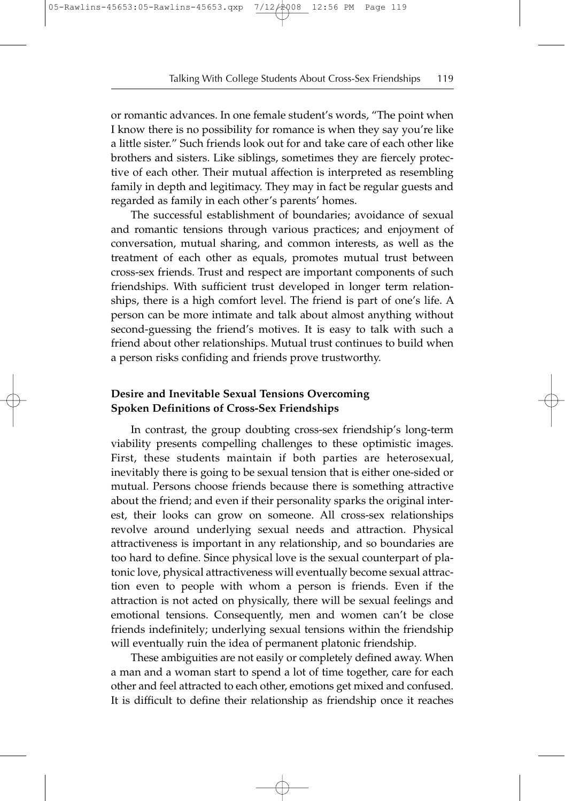or romantic advances. In one female student's words, "The point when I know there is no possibility for romance is when they say you're like a little sister." Such friends look out for and take care of each other like brothers and sisters. Like siblings, sometimes they are fiercely protective of each other. Their mutual affection is interpreted as resembling family in depth and legitimacy. They may in fact be regular guests and regarded as family in each other's parents' homes.

The successful establishment of boundaries; avoidance of sexual and romantic tensions through various practices; and enjoyment of conversation, mutual sharing, and common interests, as well as the treatment of each other as equals, promotes mutual trust between cross-sex friends. Trust and respect are important components of such friendships. With sufficient trust developed in longer term relationships, there is a high comfort level. The friend is part of one's life. A person can be more intimate and talk about almost anything without second-guessing the friend's motives. It is easy to talk with such a friend about other relationships. Mutual trust continues to build when a person risks confiding and friends prove trustworthy.

# **Desire and Inevitable Sexual Tensions Overcoming Spoken Definitions of Cross-Sex Friendships**

In contrast, the group doubting cross-sex friendship's long-term viability presents compelling challenges to these optimistic images. First, these students maintain if both parties are heterosexual, inevitably there is going to be sexual tension that is either one-sided or mutual. Persons choose friends because there is something attractive about the friend; and even if their personality sparks the original interest, their looks can grow on someone. All cross-sex relationships revolve around underlying sexual needs and attraction. Physical attractiveness is important in any relationship, and so boundaries are too hard to define. Since physical love is the sexual counterpart of platonic love, physical attractiveness will eventually become sexual attraction even to people with whom a person is friends. Even if the attraction is not acted on physically, there will be sexual feelings and emotional tensions. Consequently, men and women can't be close friends indefinitely; underlying sexual tensions within the friendship will eventually ruin the idea of permanent platonic friendship.

These ambiguities are not easily or completely defined away. When a man and a woman start to spend a lot of time together, care for each other and feel attracted to each other, emotions get mixed and confused. It is difficult to define their relationship as friendship once it reaches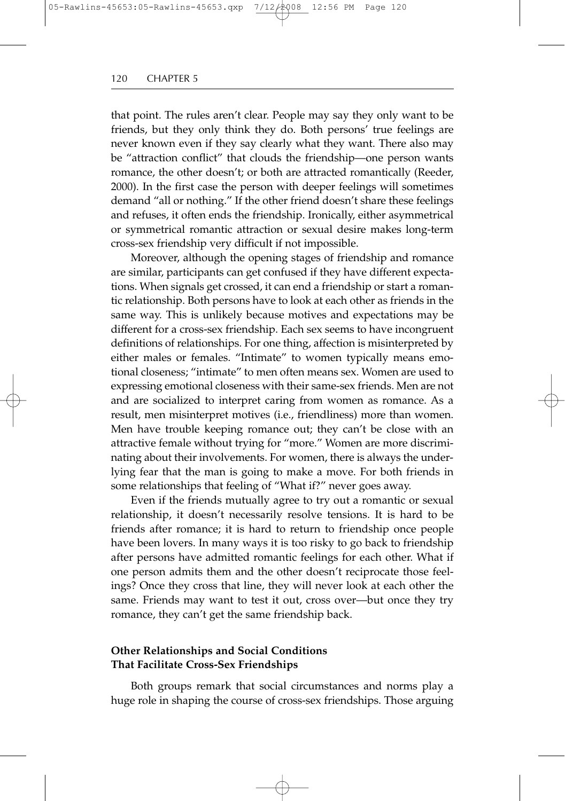that point. The rules aren't clear. People may say they only want to be friends, but they only think they do. Both persons' true feelings are never known even if they say clearly what they want. There also may be "attraction conflict" that clouds the friendship—one person wants romance, the other doesn't; or both are attracted romantically (Reeder, 2000). In the first case the person with deeper feelings will sometimes demand "all or nothing." If the other friend doesn't share these feelings and refuses, it often ends the friendship. Ironically, either asymmetrical or symmetrical romantic attraction or sexual desire makes long-term cross-sex friendship very difficult if not impossible.

Moreover, although the opening stages of friendship and romance are similar, participants can get confused if they have different expectations. When signals get crossed, it can end a friendship or start a romantic relationship. Both persons have to look at each other as friends in the same way. This is unlikely because motives and expectations may be different for a cross-sex friendship. Each sex seems to have incongruent definitions of relationships. For one thing, affection is misinterpreted by either males or females. "Intimate" to women typically means emotional closeness; "intimate" to men often means sex. Women are used to expressing emotional closeness with their same-sex friends. Men are not and are socialized to interpret caring from women as romance. As a result, men misinterpret motives (i.e., friendliness) more than women. Men have trouble keeping romance out; they can't be close with an attractive female without trying for "more." Women are more discriminating about their involvements. For women, there is always the underlying fear that the man is going to make a move. For both friends in some relationships that feeling of "What if?" never goes away.

Even if the friends mutually agree to try out a romantic or sexual relationship, it doesn't necessarily resolve tensions. It is hard to be friends after romance; it is hard to return to friendship once people have been lovers. In many ways it is too risky to go back to friendship after persons have admitted romantic feelings for each other. What if one person admits them and the other doesn't reciprocate those feelings? Once they cross that line, they will never look at each other the same. Friends may want to test it out, cross over—but once they try romance, they can't get the same friendship back.

# **Other Relationships and Social Conditions That Facilitate Cross-Sex Friendships**

Both groups remark that social circumstances and norms play a huge role in shaping the course of cross-sex friendships. Those arguing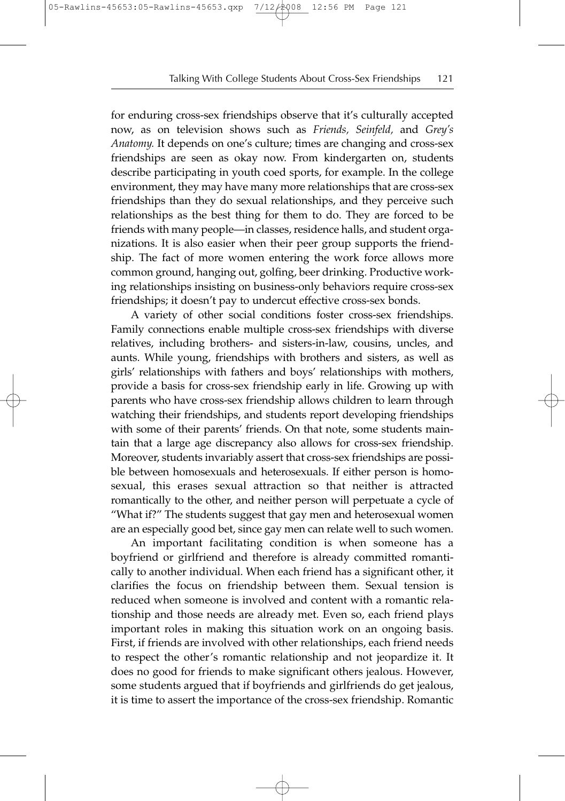for enduring cross-sex friendships observe that it's culturally accepted now, as on television shows such as *Friends, Seinfeld,* and *Grey's Anatomy.* It depends on one's culture; times are changing and cross-sex friendships are seen as okay now. From kindergarten on, students describe participating in youth coed sports, for example. In the college environment, they may have many more relationships that are cross-sex friendships than they do sexual relationships, and they perceive such relationships as the best thing for them to do. They are forced to be friends with many people—in classes, residence halls, and student organizations. It is also easier when their peer group supports the friendship. The fact of more women entering the work force allows more common ground, hanging out, golfing, beer drinking. Productive working relationships insisting on business-only behaviors require cross-sex friendships; it doesn't pay to undercut effective cross-sex bonds.

A variety of other social conditions foster cross-sex friendships. Family connections enable multiple cross-sex friendships with diverse relatives, including brothers- and sisters-in-law, cousins, uncles, and aunts. While young, friendships with brothers and sisters, as well as girls' relationships with fathers and boys' relationships with mothers, provide a basis for cross-sex friendship early in life. Growing up with parents who have cross-sex friendship allows children to learn through watching their friendships, and students report developing friendships with some of their parents' friends. On that note, some students maintain that a large age discrepancy also allows for cross-sex friendship. Moreover, students invariably assert that cross-sex friendships are possible between homosexuals and heterosexuals. If either person is homosexual, this erases sexual attraction so that neither is attracted romantically to the other, and neither person will perpetuate a cycle of "What if?" The students suggest that gay men and heterosexual women are an especially good bet, since gay men can relate well to such women.

An important facilitating condition is when someone has a boyfriend or girlfriend and therefore is already committed romantically to another individual. When each friend has a significant other, it clarifies the focus on friendship between them. Sexual tension is reduced when someone is involved and content with a romantic relationship and those needs are already met. Even so, each friend plays important roles in making this situation work on an ongoing basis. First, if friends are involved with other relationships, each friend needs to respect the other's romantic relationship and not jeopardize it. It does no good for friends to make significant others jealous. However, some students argued that if boyfriends and girlfriends do get jealous, it is time to assert the importance of the cross-sex friendship. Romantic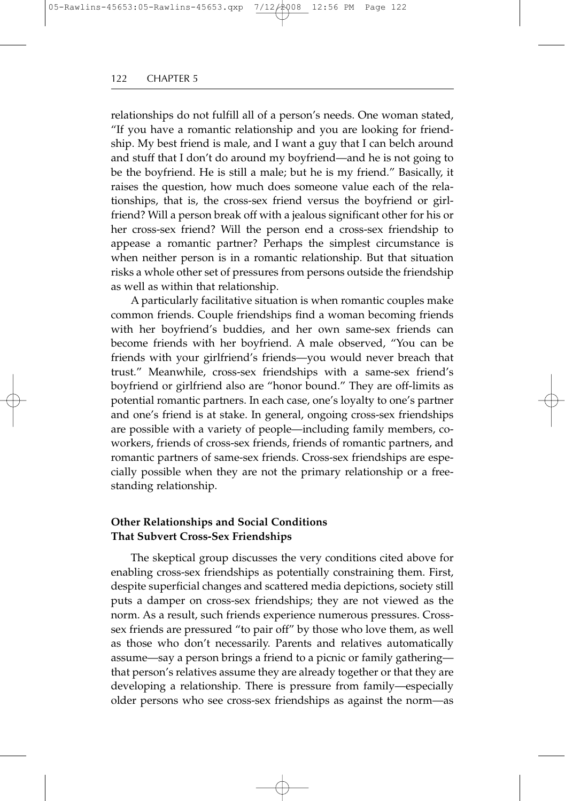relationships do not fulfill all of a person's needs. One woman stated, "If you have a romantic relationship and you are looking for friendship. My best friend is male, and I want a guy that I can belch around and stuff that I don't do around my boyfriend—and he is not going to be the boyfriend. He is still a male; but he is my friend." Basically, it raises the question, how much does someone value each of the relationships, that is, the cross-sex friend versus the boyfriend or girlfriend? Will a person break off with a jealous significant other for his or her cross-sex friend? Will the person end a cross-sex friendship to appease a romantic partner? Perhaps the simplest circumstance is when neither person is in a romantic relationship. But that situation risks a whole other set of pressures from persons outside the friendship as well as within that relationship.

A particularly facilitative situation is when romantic couples make common friends. Couple friendships find a woman becoming friends with her boyfriend's buddies, and her own same-sex friends can become friends with her boyfriend. A male observed, "You can be friends with your girlfriend's friends—you would never breach that trust." Meanwhile, cross-sex friendships with a same-sex friend's boyfriend or girlfriend also are "honor bound." They are off-limits as potential romantic partners. In each case, one's loyalty to one's partner and one's friend is at stake. In general, ongoing cross-sex friendships are possible with a variety of people—including family members, coworkers, friends of cross-sex friends, friends of romantic partners, and romantic partners of same-sex friends. Cross-sex friendships are especially possible when they are not the primary relationship or a freestanding relationship.

# **Other Relationships and Social Conditions That Subvert Cross-Sex Friendships**

The skeptical group discusses the very conditions cited above for enabling cross-sex friendships as potentially constraining them. First, despite superficial changes and scattered media depictions, society still puts a damper on cross-sex friendships; they are not viewed as the norm. As a result, such friends experience numerous pressures. Crosssex friends are pressured "to pair off" by those who love them, as well as those who don't necessarily. Parents and relatives automatically assume—say a person brings a friend to a picnic or family gathering that person's relatives assume they are already together or that they are developing a relationship. There is pressure from family—especially older persons who see cross-sex friendships as against the norm—as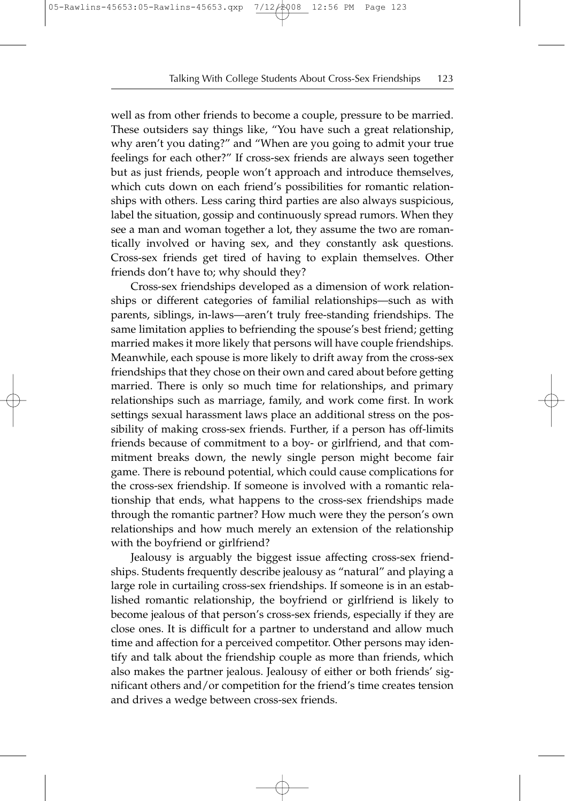well as from other friends to become a couple, pressure to be married. These outsiders say things like, "You have such a great relationship, why aren't you dating?" and "When are you going to admit your true feelings for each other?" If cross-sex friends are always seen together but as just friends, people won't approach and introduce themselves, which cuts down on each friend's possibilities for romantic relationships with others. Less caring third parties are also always suspicious, label the situation, gossip and continuously spread rumors. When they see a man and woman together a lot, they assume the two are romantically involved or having sex, and they constantly ask questions. Cross-sex friends get tired of having to explain themselves. Other friends don't have to; why should they?

Cross-sex friendships developed as a dimension of work relationships or different categories of familial relationships—such as with parents, siblings, in-laws—aren't truly free-standing friendships. The same limitation applies to befriending the spouse's best friend; getting married makes it more likely that persons will have couple friendships. Meanwhile, each spouse is more likely to drift away from the cross-sex friendships that they chose on their own and cared about before getting married. There is only so much time for relationships, and primary relationships such as marriage, family, and work come first. In work settings sexual harassment laws place an additional stress on the possibility of making cross-sex friends. Further, if a person has off-limits friends because of commitment to a boy- or girlfriend, and that commitment breaks down, the newly single person might become fair game. There is rebound potential, which could cause complications for the cross-sex friendship. If someone is involved with a romantic relationship that ends, what happens to the cross-sex friendships made through the romantic partner? How much were they the person's own relationships and how much merely an extension of the relationship with the boyfriend or girlfriend?

Jealousy is arguably the biggest issue affecting cross-sex friendships. Students frequently describe jealousy as "natural" and playing a large role in curtailing cross-sex friendships. If someone is in an established romantic relationship, the boyfriend or girlfriend is likely to become jealous of that person's cross-sex friends, especially if they are close ones. It is difficult for a partner to understand and allow much time and affection for a perceived competitor. Other persons may identify and talk about the friendship couple as more than friends, which also makes the partner jealous. Jealousy of either or both friends' significant others and/or competition for the friend's time creates tension and drives a wedge between cross-sex friends.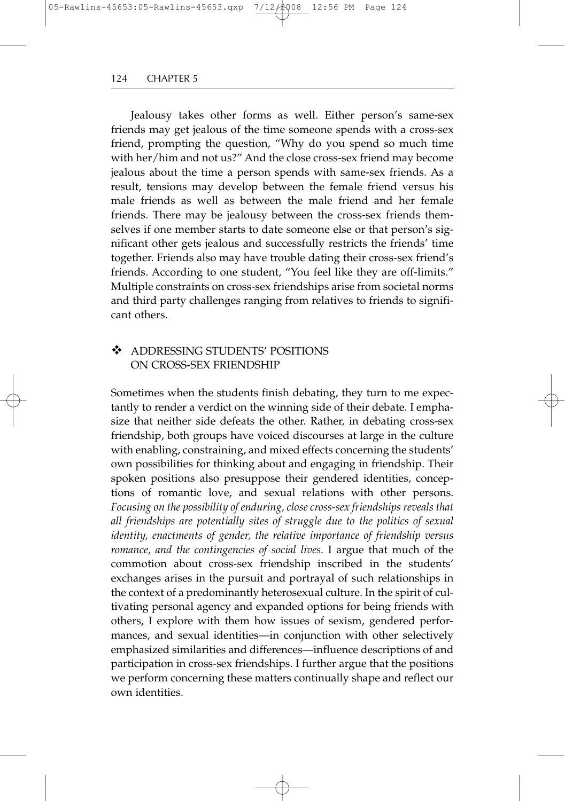Jealousy takes other forms as well. Either person's same-sex friends may get jealous of the time someone spends with a cross-sex friend, prompting the question, "Why do you spend so much time with her/him and not us?" And the close cross-sex friend may become jealous about the time a person spends with same-sex friends. As a result, tensions may develop between the female friend versus his male friends as well as between the male friend and her female friends. There may be jealousy between the cross-sex friends themselves if one member starts to date someone else or that person's significant other gets jealous and successfully restricts the friends' time together. Friends also may have trouble dating their cross-sex friend's friends. According to one student, "You feel like they are off-limits." Multiple constraints on cross-sex friendships arise from societal norms and third party challenges ranging from relatives to friends to significant others.

# - ADDRESSING STUDENTS' POSITIONS ON CROSS-SEX FRIENDSHIP

Sometimes when the students finish debating, they turn to me expectantly to render a verdict on the winning side of their debate. I emphasize that neither side defeats the other. Rather, in debating cross-sex friendship, both groups have voiced discourses at large in the culture with enabling, constraining, and mixed effects concerning the students' own possibilities for thinking about and engaging in friendship. Their spoken positions also presuppose their gendered identities, conceptions of romantic love, and sexual relations with other persons. *Focusing on the possibility of enduring, close cross-sex friendships reveals that all friendships are potentially sites of struggle due to the politics of sexual identity, enactments of gender, the relative importance of friendship versus romance, and the contingencies of social lives.* I argue that much of the commotion about cross-sex friendship inscribed in the students' exchanges arises in the pursuit and portrayal of such relationships in the context of a predominantly heterosexual culture. In the spirit of cultivating personal agency and expanded options for being friends with others, I explore with them how issues of sexism, gendered performances, and sexual identities—in conjunction with other selectively emphasized similarities and differences—influence descriptions of and participation in cross-sex friendships. I further argue that the positions we perform concerning these matters continually shape and reflect our own identities.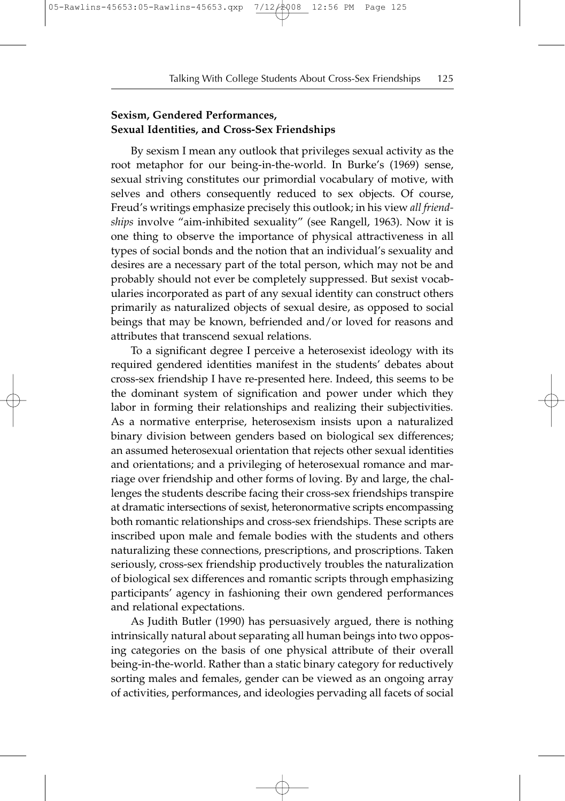# **Sexism, Gendered Performances, Sexual Identities, and Cross-Sex Friendships**

By sexism I mean any outlook that privileges sexual activity as the root metaphor for our being-in-the-world. In Burke's (1969) sense, sexual striving constitutes our primordial vocabulary of motive, with selves and others consequently reduced to sex objects. Of course, Freud's writings emphasize precisely this outlook; in his view *all friendships* involve "aim-inhibited sexuality" (see Rangell, 1963). Now it is one thing to observe the importance of physical attractiveness in all types of social bonds and the notion that an individual's sexuality and desires are a necessary part of the total person, which may not be and probably should not ever be completely suppressed. But sexist vocabularies incorporated as part of any sexual identity can construct others primarily as naturalized objects of sexual desire, as opposed to social beings that may be known, befriended and/or loved for reasons and attributes that transcend sexual relations.

To a significant degree I perceive a heterosexist ideology with its required gendered identities manifest in the students' debates about cross-sex friendship I have re-presented here. Indeed, this seems to be the dominant system of signification and power under which they labor in forming their relationships and realizing their subjectivities. As a normative enterprise, heterosexism insists upon a naturalized binary division between genders based on biological sex differences; an assumed heterosexual orientation that rejects other sexual identities and orientations; and a privileging of heterosexual romance and marriage over friendship and other forms of loving. By and large, the challenges the students describe facing their cross-sex friendships transpire at dramatic intersections of sexist, heteronormative scripts encompassing both romantic relationships and cross-sex friendships. These scripts are inscribed upon male and female bodies with the students and others naturalizing these connections, prescriptions, and proscriptions. Taken seriously, cross-sex friendship productively troubles the naturalization of biological sex differences and romantic scripts through emphasizing participants' agency in fashioning their own gendered performances and relational expectations.

As Judith Butler (1990) has persuasively argued, there is nothing intrinsically natural about separating all human beings into two opposing categories on the basis of one physical attribute of their overall being-in-the-world. Rather than a static binary category for reductively sorting males and females, gender can be viewed as an ongoing array of activities, performances, and ideologies pervading all facets of social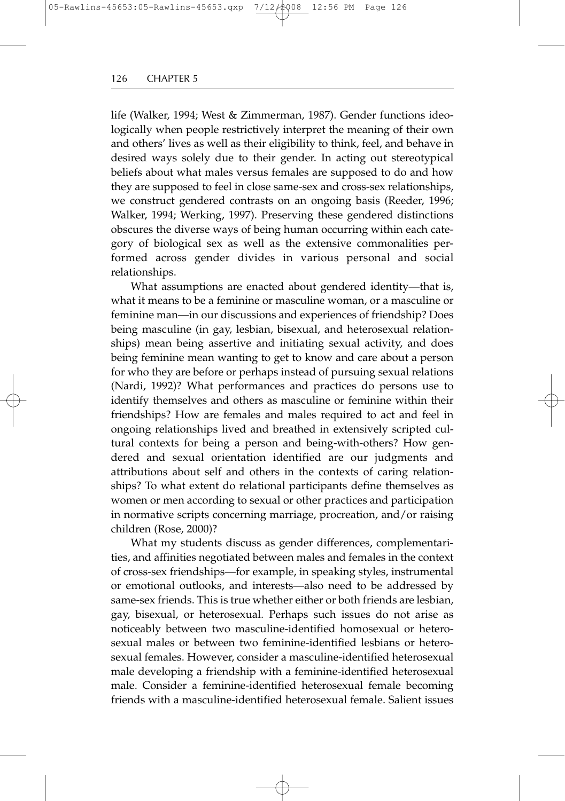life (Walker, 1994; West & Zimmerman, 1987). Gender functions ideologically when people restrictively interpret the meaning of their own and others' lives as well as their eligibility to think, feel, and behave in desired ways solely due to their gender. In acting out stereotypical beliefs about what males versus females are supposed to do and how they are supposed to feel in close same-sex and cross-sex relationships, we construct gendered contrasts on an ongoing basis (Reeder, 1996; Walker, 1994; Werking, 1997). Preserving these gendered distinctions obscures the diverse ways of being human occurring within each category of biological sex as well as the extensive commonalities performed across gender divides in various personal and social relationships.

What assumptions are enacted about gendered identity—that is, what it means to be a feminine or masculine woman, or a masculine or feminine man—in our discussions and experiences of friendship? Does being masculine (in gay, lesbian, bisexual, and heterosexual relationships) mean being assertive and initiating sexual activity, and does being feminine mean wanting to get to know and care about a person for who they are before or perhaps instead of pursuing sexual relations (Nardi, 1992)? What performances and practices do persons use to identify themselves and others as masculine or feminine within their friendships? How are females and males required to act and feel in ongoing relationships lived and breathed in extensively scripted cultural contexts for being a person and being-with-others? How gendered and sexual orientation identified are our judgments and attributions about self and others in the contexts of caring relationships? To what extent do relational participants define themselves as women or men according to sexual or other practices and participation in normative scripts concerning marriage, procreation, and/or raising children (Rose, 2000)?

What my students discuss as gender differences, complementarities, and affinities negotiated between males and females in the context of cross-sex friendships—for example, in speaking styles, instrumental or emotional outlooks, and interests—also need to be addressed by same-sex friends. This is true whether either or both friends are lesbian, gay, bisexual, or heterosexual. Perhaps such issues do not arise as noticeably between two masculine-identified homosexual or heterosexual males or between two feminine-identified lesbians or heterosexual females. However, consider a masculine-identified heterosexual male developing a friendship with a feminine-identified heterosexual male. Consider a feminine-identified heterosexual female becoming friends with a masculine-identified heterosexual female. Salient issues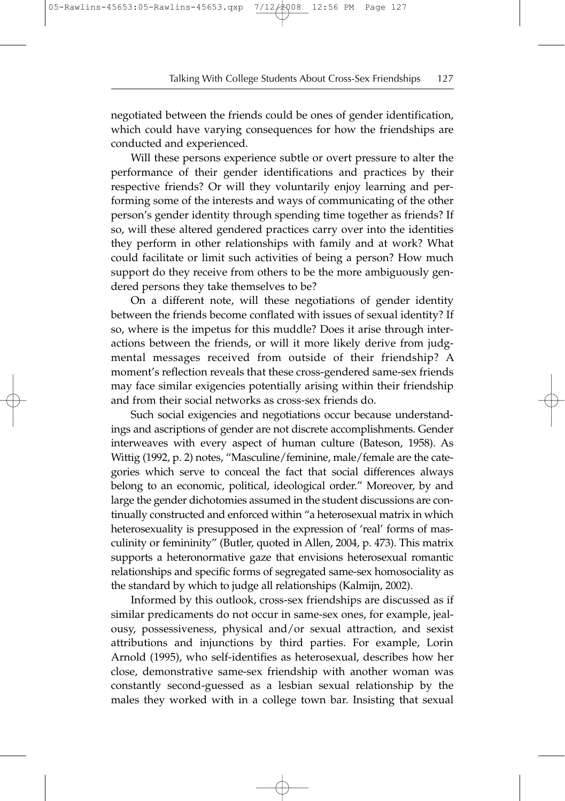negotiated between the friends could be ones of gender identification, which could have varying consequences for how the friendships are conducted and experienced.

Will these persons experience subtle or overt pressure to alter the performance of their gender identifications and practices by their respective friends? Or will they voluntarily enjoy learning and performing some of the interests and ways of communicating of the other person's gender identity through spending time together as friends? If so, will these altered gendered practices carry over into the identities they perform in other relationships with family and at work? What could facilitate or limit such activities of being a person? How much support do they receive from others to be the more ambiguously gendered persons they take themselves to be?

On a different note, will these negotiations of gender identity between the friends become conflated with issues of sexual identity? If so, where is the impetus for this muddle? Does it arise through interactions between the friends, or will it more likely derive from judgmental messages received from outside of their friendship? A moment's reflection reveals that these cross-gendered same-sex friends may face similar exigencies potentially arising within their friendship and from their social networks as cross-sex friends do.

Such social exigencies and negotiations occur because understandings and ascriptions of gender are not discrete accomplishments. Gender interweaves with every aspect of human culture (Bateson, 1958). As Wittig (1992, p. 2) notes, "Masculine/feminine, male/female are the categories which serve to conceal the fact that social differences always belong to an economic, political, ideological order." Moreover, by and large the gender dichotomies assumed in the student discussions are continually constructed and enforced within "a heterosexual matrix in which heterosexuality is presupposed in the expression of 'real' forms of masculinity or femininity" (Butler, quoted in Allen, 2004, p. 473). This matrix supports a heteronormative gaze that envisions heterosexual romantic relationships and specific forms of segregated same-sex homosociality as the standard by which to judge all relationships (Kalmijn, 2002).

Informed by this outlook, cross-sex friendships are discussed as if similar predicaments do not occur in same-sex ones, for example, jealousy, possessiveness, physical and/or sexual attraction, and sexist attributions and injunctions by third parties. For example, Lorin Arnold (1995), who self-identifies as heterosexual, describes how her close, demonstrative same-sex friendship with another woman was constantly second-guessed as a lesbian sexual relationship by the males they worked with in a college town bar. Insisting that sexual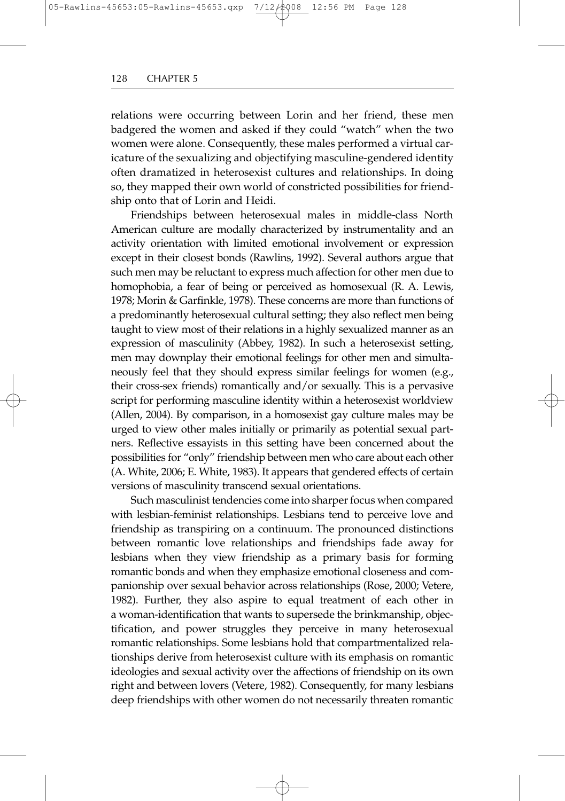relations were occurring between Lorin and her friend, these men badgered the women and asked if they could "watch" when the two women were alone. Consequently, these males performed a virtual caricature of the sexualizing and objectifying masculine-gendered identity often dramatized in heterosexist cultures and relationships. In doing so, they mapped their own world of constricted possibilities for friendship onto that of Lorin and Heidi.

Friendships between heterosexual males in middle-class North American culture are modally characterized by instrumentality and an activity orientation with limited emotional involvement or expression except in their closest bonds (Rawlins, 1992). Several authors argue that such men may be reluctant to express much affection for other men due to homophobia, a fear of being or perceived as homosexual (R. A. Lewis, 1978; Morin & Garfinkle, 1978). These concerns are more than functions of a predominantly heterosexual cultural setting; they also reflect men being taught to view most of their relations in a highly sexualized manner as an expression of masculinity (Abbey, 1982). In such a heterosexist setting, men may downplay their emotional feelings for other men and simultaneously feel that they should express similar feelings for women (e.g., their cross-sex friends) romantically and/or sexually. This is a pervasive script for performing masculine identity within a heterosexist worldview (Allen, 2004). By comparison, in a homosexist gay culture males may be urged to view other males initially or primarily as potential sexual partners. Reflective essayists in this setting have been concerned about the possibilities for "only" friendship between men who care about each other (A. White, 2006; E. White, 1983). It appears that gendered effects of certain versions of masculinity transcend sexual orientations.

Such masculinist tendencies come into sharper focus when compared with lesbian-feminist relationships. Lesbians tend to perceive love and friendship as transpiring on a continuum. The pronounced distinctions between romantic love relationships and friendships fade away for lesbians when they view friendship as a primary basis for forming romantic bonds and when they emphasize emotional closeness and companionship over sexual behavior across relationships (Rose, 2000; Vetere, 1982). Further, they also aspire to equal treatment of each other in a woman-identification that wants to supersede the brinkmanship, objectification, and power struggles they perceive in many heterosexual romantic relationships. Some lesbians hold that compartmentalized relationships derive from heterosexist culture with its emphasis on romantic ideologies and sexual activity over the affections of friendship on its own right and between lovers (Vetere, 1982). Consequently, for many lesbians deep friendships with other women do not necessarily threaten romantic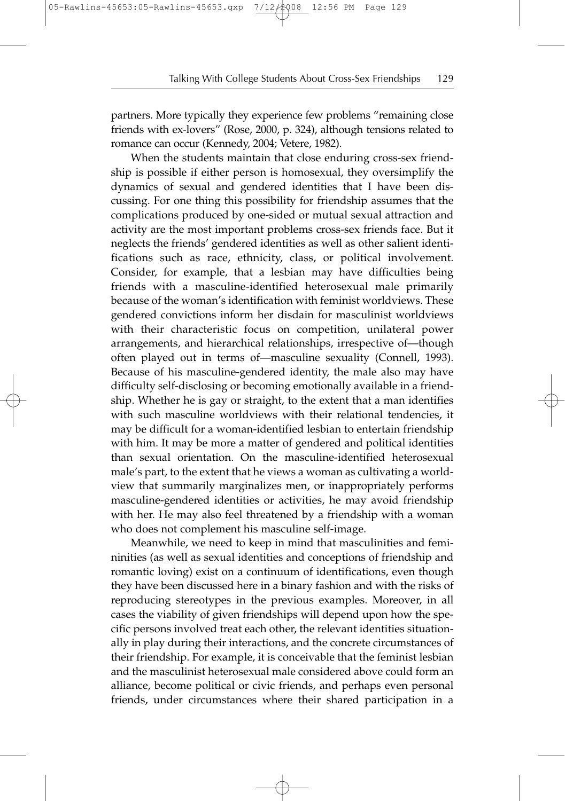partners. More typically they experience few problems "remaining close friends with ex-lovers" (Rose, 2000, p. 324), although tensions related to romance can occur (Kennedy, 2004; Vetere, 1982).

When the students maintain that close enduring cross-sex friendship is possible if either person is homosexual, they oversimplify the dynamics of sexual and gendered identities that I have been discussing. For one thing this possibility for friendship assumes that the complications produced by one-sided or mutual sexual attraction and activity are the most important problems cross-sex friends face. But it neglects the friends' gendered identities as well as other salient identifications such as race, ethnicity, class, or political involvement. Consider, for example, that a lesbian may have difficulties being friends with a masculine-identified heterosexual male primarily because of the woman's identification with feminist worldviews. These gendered convictions inform her disdain for masculinist worldviews with their characteristic focus on competition, unilateral power arrangements, and hierarchical relationships, irrespective of—though often played out in terms of—masculine sexuality (Connell, 1993). Because of his masculine-gendered identity, the male also may have difficulty self-disclosing or becoming emotionally available in a friendship. Whether he is gay or straight, to the extent that a man identifies with such masculine worldviews with their relational tendencies, it may be difficult for a woman-identified lesbian to entertain friendship with him. It may be more a matter of gendered and political identities than sexual orientation. On the masculine-identified heterosexual male's part, to the extent that he views a woman as cultivating a worldview that summarily marginalizes men, or inappropriately performs masculine-gendered identities or activities, he may avoid friendship with her. He may also feel threatened by a friendship with a woman who does not complement his masculine self-image.

Meanwhile, we need to keep in mind that masculinities and femininities (as well as sexual identities and conceptions of friendship and romantic loving) exist on a continuum of identifications, even though they have been discussed here in a binary fashion and with the risks of reproducing stereotypes in the previous examples. Moreover, in all cases the viability of given friendships will depend upon how the specific persons involved treat each other, the relevant identities situationally in play during their interactions, and the concrete circumstances of their friendship. For example, it is conceivable that the feminist lesbian and the masculinist heterosexual male considered above could form an alliance, become political or civic friends, and perhaps even personal friends, under circumstances where their shared participation in a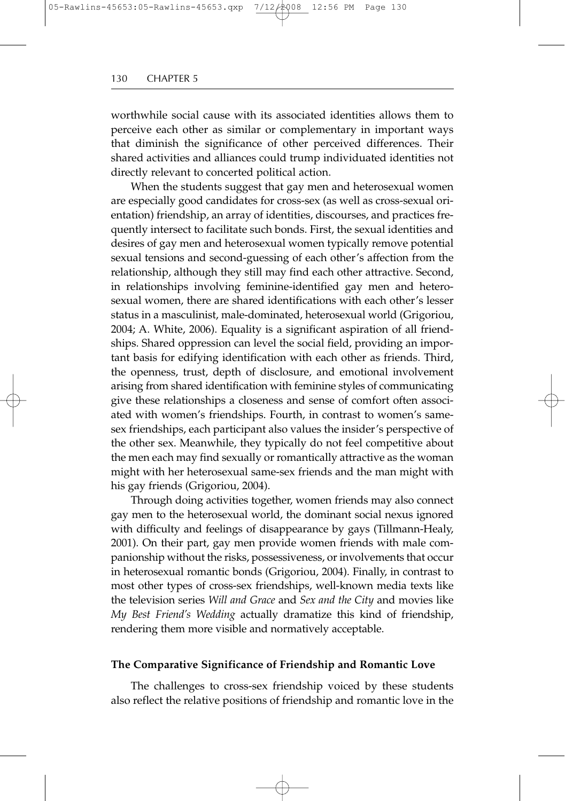worthwhile social cause with its associated identities allows them to perceive each other as similar or complementary in important ways that diminish the significance of other perceived differences. Their shared activities and alliances could trump individuated identities not directly relevant to concerted political action.

When the students suggest that gay men and heterosexual women are especially good candidates for cross-sex (as well as cross-sexual orientation) friendship, an array of identities, discourses, and practices frequently intersect to facilitate such bonds. First, the sexual identities and desires of gay men and heterosexual women typically remove potential sexual tensions and second-guessing of each other's affection from the relationship, although they still may find each other attractive. Second, in relationships involving feminine-identified gay men and heterosexual women, there are shared identifications with each other's lesser status in a masculinist, male-dominated, heterosexual world (Grigoriou, 2004; A. White, 2006). Equality is a significant aspiration of all friendships. Shared oppression can level the social field, providing an important basis for edifying identification with each other as friends. Third, the openness, trust, depth of disclosure, and emotional involvement arising from shared identification with feminine styles of communicating give these relationships a closeness and sense of comfort often associated with women's friendships. Fourth, in contrast to women's samesex friendships, each participant also values the insider's perspective of the other sex. Meanwhile, they typically do not feel competitive about the men each may find sexually or romantically attractive as the woman might with her heterosexual same-sex friends and the man might with his gay friends (Grigoriou, 2004).

Through doing activities together, women friends may also connect gay men to the heterosexual world, the dominant social nexus ignored with difficulty and feelings of disappearance by gays (Tillmann-Healy, 2001). On their part, gay men provide women friends with male companionship without the risks, possessiveness, or involvements that occur in heterosexual romantic bonds (Grigoriou, 2004). Finally, in contrast to most other types of cross-sex friendships, well-known media texts like the television series *Will and Grace* and *Sex and the City* and movies like *My Best Friend's Wedding* actually dramatize this kind of friendship, rendering them more visible and normatively acceptable.

#### **The Comparative Significance of Friendship and Romantic Love**

The challenges to cross-sex friendship voiced by these students also reflect the relative positions of friendship and romantic love in the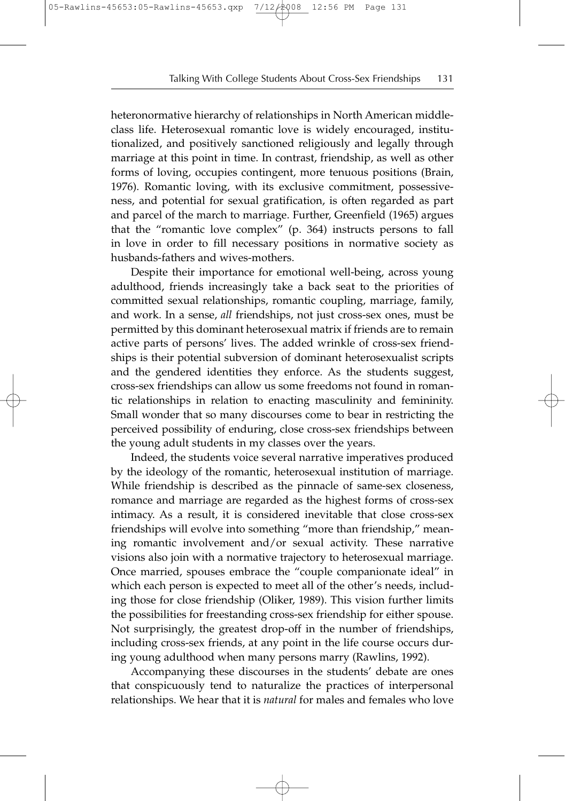heteronormative hierarchy of relationships in North American middleclass life. Heterosexual romantic love is widely encouraged, institutionalized, and positively sanctioned religiously and legally through marriage at this point in time. In contrast, friendship, as well as other forms of loving, occupies contingent, more tenuous positions (Brain, 1976). Romantic loving, with its exclusive commitment, possessiveness, and potential for sexual gratification, is often regarded as part and parcel of the march to marriage. Further, Greenfield (1965) argues that the "romantic love complex" (p. 364) instructs persons to fall in love in order to fill necessary positions in normative society as husbands-fathers and wives-mothers.

Despite their importance for emotional well-being, across young adulthood, friends increasingly take a back seat to the priorities of committed sexual relationships, romantic coupling, marriage, family, and work. In a sense, *all* friendships, not just cross-sex ones, must be permitted by this dominant heterosexual matrix if friends are to remain active parts of persons' lives. The added wrinkle of cross-sex friendships is their potential subversion of dominant heterosexualist scripts and the gendered identities they enforce. As the students suggest, cross-sex friendships can allow us some freedoms not found in romantic relationships in relation to enacting masculinity and femininity. Small wonder that so many discourses come to bear in restricting the perceived possibility of enduring, close cross-sex friendships between the young adult students in my classes over the years.

Indeed, the students voice several narrative imperatives produced by the ideology of the romantic, heterosexual institution of marriage. While friendship is described as the pinnacle of same-sex closeness, romance and marriage are regarded as the highest forms of cross-sex intimacy. As a result, it is considered inevitable that close cross-sex friendships will evolve into something "more than friendship," meaning romantic involvement and/or sexual activity. These narrative visions also join with a normative trajectory to heterosexual marriage. Once married, spouses embrace the "couple companionate ideal" in which each person is expected to meet all of the other's needs, including those for close friendship (Oliker, 1989). This vision further limits the possibilities for freestanding cross-sex friendship for either spouse. Not surprisingly, the greatest drop-off in the number of friendships, including cross-sex friends, at any point in the life course occurs during young adulthood when many persons marry (Rawlins, 1992).

Accompanying these discourses in the students' debate are ones that conspicuously tend to naturalize the practices of interpersonal relationships. We hear that it is *natural* for males and females who love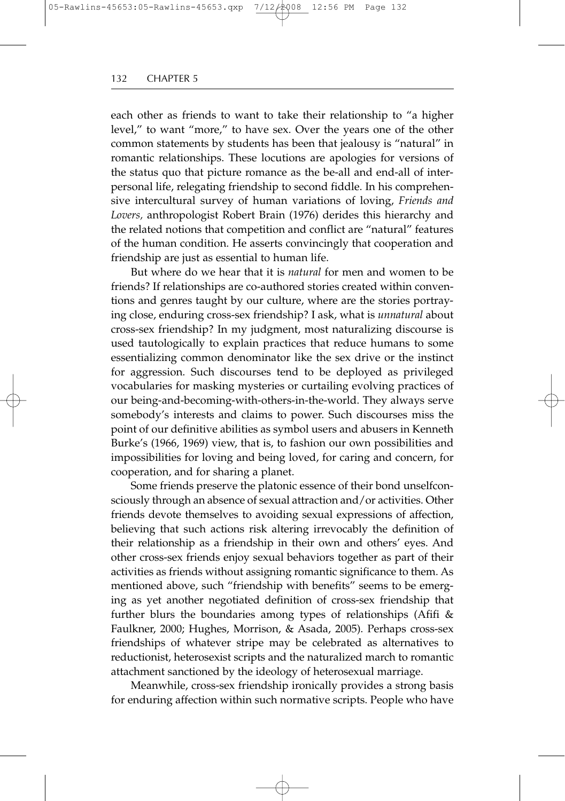each other as friends to want to take their relationship to "a higher level," to want "more," to have sex. Over the years one of the other common statements by students has been that jealousy is "natural" in romantic relationships. These locutions are apologies for versions of the status quo that picture romance as the be-all and end-all of interpersonal life, relegating friendship to second fiddle. In his comprehensive intercultural survey of human variations of loving, *Friends and Lovers,* anthropologist Robert Brain (1976) derides this hierarchy and the related notions that competition and conflict are "natural" features of the human condition. He asserts convincingly that cooperation and friendship are just as essential to human life.

But where do we hear that it is *natural* for men and women to be friends? If relationships are co-authored stories created within conventions and genres taught by our culture, where are the stories portraying close, enduring cross-sex friendship? I ask, what is *unnatural* about cross-sex friendship? In my judgment, most naturalizing discourse is used tautologically to explain practices that reduce humans to some essentializing common denominator like the sex drive or the instinct for aggression. Such discourses tend to be deployed as privileged vocabularies for masking mysteries or curtailing evolving practices of our being-and-becoming-with-others-in-the-world. They always serve somebody's interests and claims to power. Such discourses miss the point of our definitive abilities as symbol users and abusers in Kenneth Burke's (1966, 1969) view, that is, to fashion our own possibilities and impossibilities for loving and being loved, for caring and concern, for cooperation, and for sharing a planet.

Some friends preserve the platonic essence of their bond unselfconsciously through an absence of sexual attraction and/or activities. Other friends devote themselves to avoiding sexual expressions of affection, believing that such actions risk altering irrevocably the definition of their relationship as a friendship in their own and others' eyes. And other cross-sex friends enjoy sexual behaviors together as part of their activities as friends without assigning romantic significance to them. As mentioned above, such "friendship with benefits" seems to be emerging as yet another negotiated definition of cross-sex friendship that further blurs the boundaries among types of relationships (Afifi & Faulkner, 2000; Hughes, Morrison, & Asada, 2005). Perhaps cross-sex friendships of whatever stripe may be celebrated as alternatives to reductionist, heterosexist scripts and the naturalized march to romantic attachment sanctioned by the ideology of heterosexual marriage.

Meanwhile, cross-sex friendship ironically provides a strong basis for enduring affection within such normative scripts. People who have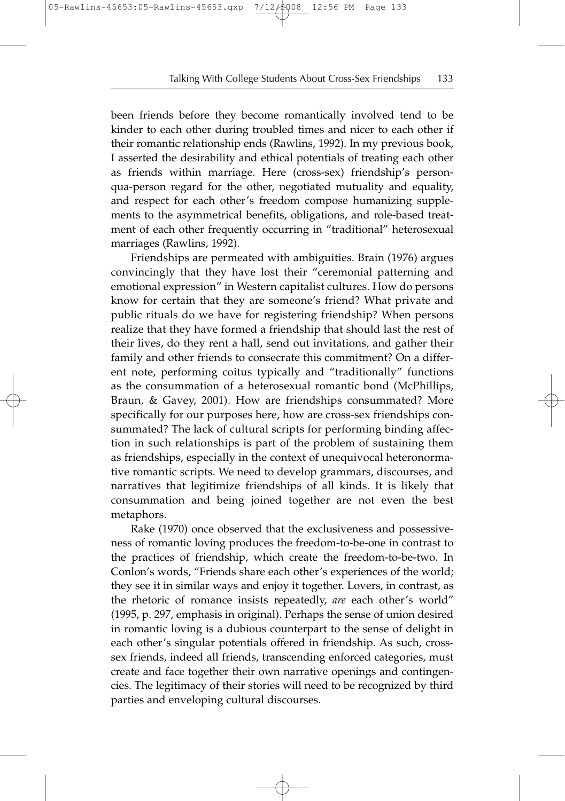been friends before they become romantically involved tend to be kinder to each other during troubled times and nicer to each other if their romantic relationship ends (Rawlins, 1992). In my previous book, I asserted the desirability and ethical potentials of treating each other as friends within marriage. Here (cross-sex) friendship's personqua-person regard for the other, negotiated mutuality and equality, and respect for each other's freedom compose humanizing supplements to the asymmetrical benefits, obligations, and role-based treatment of each other frequently occurring in "traditional" heterosexual marriages (Rawlins, 1992).

Friendships are permeated with ambiguities. Brain (1976) argues convincingly that they have lost their "ceremonial patterning and emotional expression" in Western capitalist cultures. How do persons know for certain that they are someone's friend? What private and public rituals do we have for registering friendship? When persons realize that they have formed a friendship that should last the rest of their lives, do they rent a hall, send out invitations, and gather their family and other friends to consecrate this commitment? On a different note, performing coitus typically and "traditionally" functions as the consummation of a heterosexual romantic bond (McPhillips, Braun, & Gavey, 2001). How are friendships consummated? More specifically for our purposes here, how are cross-sex friendships consummated? The lack of cultural scripts for performing binding affection in such relationships is part of the problem of sustaining them as friendships, especially in the context of unequivocal heteronormative romantic scripts. We need to develop grammars, discourses, and narratives that legitimize friendships of all kinds. It is likely that consummation and being joined together are not even the best metaphors.

Rake (1970) once observed that the exclusiveness and possessiveness of romantic loving produces the freedom-to-be-one in contrast to the practices of friendship, which create the freedom-to-be-two. In Conlon's words, "Friends share each other's experiences of the world; they see it in similar ways and enjoy it together. Lovers, in contrast, as the rhetoric of romance insists repeatedly, *are* each other's world" (1995, p. 297, emphasis in original). Perhaps the sense of union desired in romantic loving is a dubious counterpart to the sense of delight in each other's singular potentials offered in friendship. As such, crosssex friends, indeed all friends, transcending enforced categories, must create and face together their own narrative openings and contingencies. The legitimacy of their stories will need to be recognized by third parties and enveloping cultural discourses.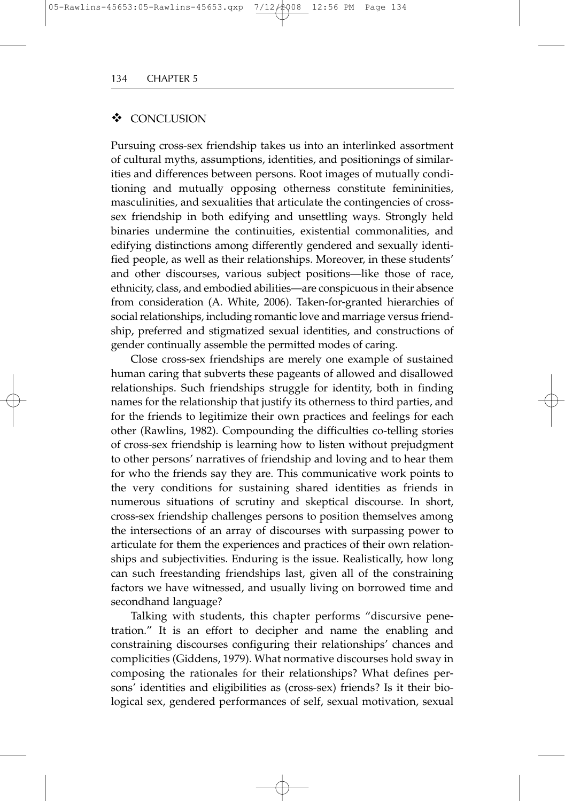#### $\cdot$ **CONCLUSION**

Pursuing cross-sex friendship takes us into an interlinked assortment of cultural myths, assumptions, identities, and positionings of similarities and differences between persons. Root images of mutually conditioning and mutually opposing otherness constitute femininities, masculinities, and sexualities that articulate the contingencies of crosssex friendship in both edifying and unsettling ways. Strongly held binaries undermine the continuities, existential commonalities, and edifying distinctions among differently gendered and sexually identified people, as well as their relationships. Moreover, in these students' and other discourses, various subject positions—like those of race, ethnicity, class, and embodied abilities—are conspicuous in their absence from consideration (A. White, 2006). Taken-for-granted hierarchies of social relationships, including romantic love and marriage versus friendship, preferred and stigmatized sexual identities, and constructions of gender continually assemble the permitted modes of caring.

Close cross-sex friendships are merely one example of sustained human caring that subverts these pageants of allowed and disallowed relationships. Such friendships struggle for identity, both in finding names for the relationship that justify its otherness to third parties, and for the friends to legitimize their own practices and feelings for each other (Rawlins, 1982). Compounding the difficulties co-telling stories of cross-sex friendship is learning how to listen without prejudgment to other persons' narratives of friendship and loving and to hear them for who the friends say they are. This communicative work points to the very conditions for sustaining shared identities as friends in numerous situations of scrutiny and skeptical discourse. In short, cross-sex friendship challenges persons to position themselves among the intersections of an array of discourses with surpassing power to articulate for them the experiences and practices of their own relationships and subjectivities. Enduring is the issue. Realistically, how long can such freestanding friendships last, given all of the constraining factors we have witnessed, and usually living on borrowed time and secondhand language?

Talking with students, this chapter performs "discursive penetration." It is an effort to decipher and name the enabling and constraining discourses configuring their relationships' chances and complicities (Giddens, 1979). What normative discourses hold sway in composing the rationales for their relationships? What defines persons' identities and eligibilities as (cross-sex) friends? Is it their biological sex, gendered performances of self, sexual motivation, sexual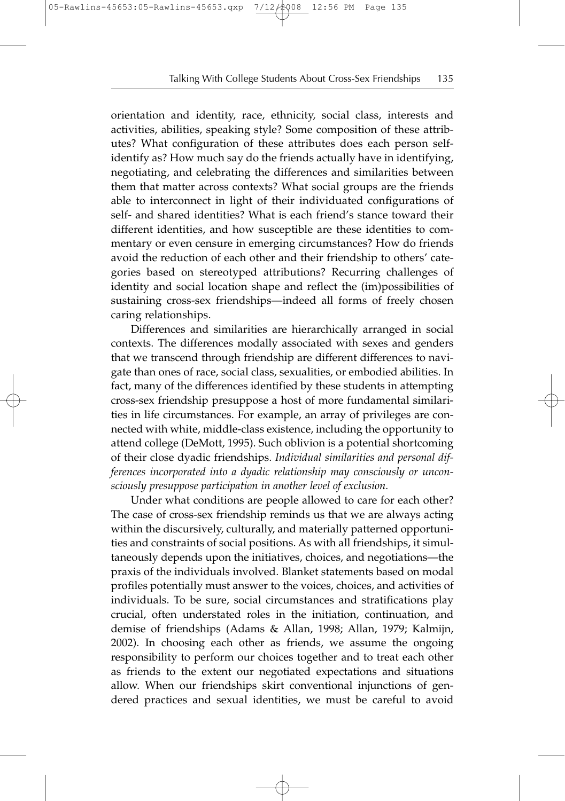orientation and identity, race, ethnicity, social class, interests and activities, abilities, speaking style? Some composition of these attributes? What configuration of these attributes does each person selfidentify as? How much say do the friends actually have in identifying, negotiating, and celebrating the differences and similarities between them that matter across contexts? What social groups are the friends able to interconnect in light of their individuated configurations of self- and shared identities? What is each friend's stance toward their different identities, and how susceptible are these identities to commentary or even censure in emerging circumstances? How do friends avoid the reduction of each other and their friendship to others' categories based on stereotyped attributions? Recurring challenges of identity and social location shape and reflect the (im)possibilities of sustaining cross-sex friendships—indeed all forms of freely chosen caring relationships.

Differences and similarities are hierarchically arranged in social contexts. The differences modally associated with sexes and genders that we transcend through friendship are different differences to navigate than ones of race, social class, sexualities, or embodied abilities. In fact, many of the differences identified by these students in attempting cross-sex friendship presuppose a host of more fundamental similarities in life circumstances. For example, an array of privileges are connected with white, middle-class existence, including the opportunity to attend college (DeMott, 1995). Such oblivion is a potential shortcoming of their close dyadic friendships. *Individual similarities and personal differences incorporated into a dyadic relationship may consciously or unconsciously presuppose participation in another level of exclusion.*

Under what conditions are people allowed to care for each other? The case of cross-sex friendship reminds us that we are always acting within the discursively, culturally, and materially patterned opportunities and constraints of social positions. As with all friendships, it simultaneously depends upon the initiatives, choices, and negotiations—the praxis of the individuals involved. Blanket statements based on modal profiles potentially must answer to the voices, choices, and activities of individuals. To be sure, social circumstances and stratifications play crucial, often understated roles in the initiation, continuation, and demise of friendships (Adams & Allan, 1998; Allan, 1979; Kalmijn, 2002). In choosing each other as friends, we assume the ongoing responsibility to perform our choices together and to treat each other as friends to the extent our negotiated expectations and situations allow. When our friendships skirt conventional injunctions of gendered practices and sexual identities, we must be careful to avoid